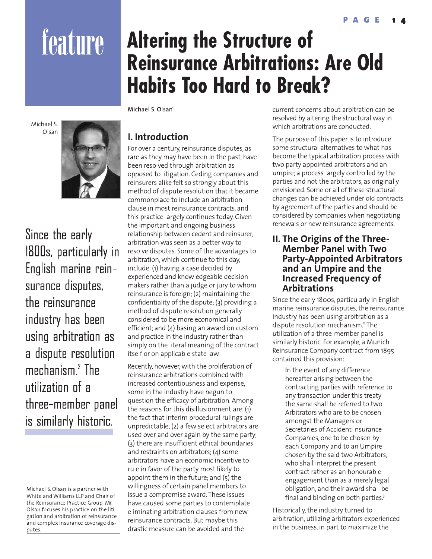# feature

Michael S. Olsan



Since the early 1800s, particularly in English marine reinsurance disputes, the reinsurance industry has been using arbitration as a dispute resolution mechanism. $2$  The utilization of a three-member panel is similarly historic.

# **Altering the Structure of Reinsurance Arbitrations: Are Old Habits Too Hard to Break?**

Michael S. Olsan'

## I. Introduction

For over a century, reinsurance disputes, as rare as they may have been in the past, have been resolved through arbitration as opposed to litigation. Ceding companies and reinsurers alike felt so strongly about this method of dispute resolution that it became commonplace to include an arbitration clause in most reinsurance contracts, and this practice largely continues today. Given the important and ongoing business relationship between cedent and reinsurer, arbitration was seen as a better way to resolve disputes. Some of the advantages to arbitration, which continue to this day, include: (1) having a case decided by experienced and knowledgeable decisionmakers rather than a judge or jury to whom reinsurance is foreign; (2) maintaining the confidentiality of the dispute; (3) providing a method of dispute resolution generally considered to be more economical and efficient; and  $(4)$  basing an award on custom and practice in the industry rather than simply on the literal meaning of the contract itself or on applicable state law.

Recently, however, with the proliferation of reinsurance arbitrations combined with increased contentiousness and expense, some in the industry have begun to question the efficacy of arbitration. Among the reasons for this disillusionment are: (1) the fact that interim procedural rulings are unpredictable; (2) a few select arbitrators are used over and over again by the same party; (3) there are insufficient ethical boundaries and restraints on arbitrators;  $(4)$  some arbitrators have an economic incentive to rule in favor of the party most likely to appoint them in the future; and  $(5)$  the willingness of certain panel members to issue a compromise award. These issues have caused some parties to contemplate eliminating arbitration clauses from new reinsurance contracts. But maybe this drastic measure can be avoided and the

current concerns about arbitration can be resolved by altering the structural way in which arbitrations are conducted.

The purpose of this paper is to introduce some structural alternatives to what has become the typical arbitration process with two party appointed arbitrators and an umpire; a process largely controlled by the parties and not the arbitrators, as originally envisioned. Some or all of these structural changes can be achieved under old contracts by agreement of the parties and should be considered by companies when negotiating renewals or new reinsurance agreements.

#### **II. The Origins of the Three-Member Panel with Two Party-Appointed Arbitrators** and an Umpire and the **Increased Frequency of Arbitrations**

Since the early 1800s, particularly in English marine reinsurance disputes, the reinsurance industry has been using arbitration as a dispute resolution mechanism.<sup>2</sup> The utilization of a three-member panel is similarly historic. For example, a Munich Reinsurance Company contract from 1895 contained this provision:

In the event of any difference hereafter arising between the contracting parties with reference to any transaction under this treaty the same shall be referred to two Arbitrators who are to be chosen amongst the Managers or Secretaries of Accident Insurance Companies, one to be chosen by each Company and to an Umpire chosen by the said two Arbitrators, who shall interpret the present contract rather as an honourable engagement than as a merely legal obligation, and their award shall be final and binding on both parties.<sup>3</sup>

Historically, the industry turned to arbitration, utilizing arbitrators experienced in the business, in part to maximize the

Michael S. Olsan is a partner with White and Williams LLP and Chair of the Reinsurance Practice Group. Mr. Olsan focuses his practice on the litigation and arbitration of reinsurance and complex insurance coverage disputes.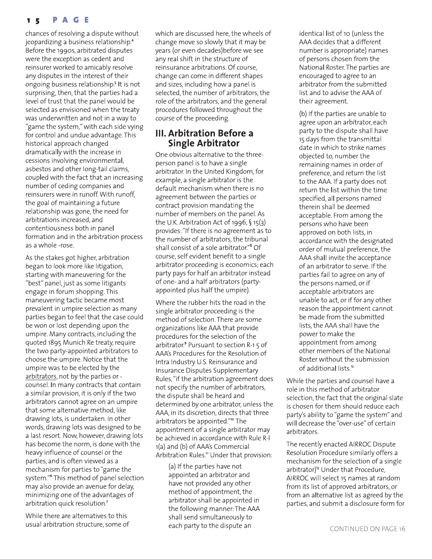#### PAGE  $1<sub>5</sub>$

chances of resolving a dispute without jeopardizing a business relationship.<sup>4</sup> Before the 1990s, arbitrated disputes were the exception as cedent and reinsurer worked to amicably resolve any disputes in the interest of their ongoing business relationship.<sup>5</sup> It is not surprising, then, that the parties had a level of trust that the panel would be selected as envisioned when the treaty was underwritten and not in a way to "game the system," with each side vying for control and undue advantage. This historical approach changed dramatically with the increase in cessions involving environmental, asbestos and other long-tail claims, coupled with the fact that an increasing number of ceding companies and reinsurers were in runoff. With runoff, the goal of maintaining a future relationship was gone, the need for arbitrations increased, and contentiousness both in panel formation and in the arbitration process as a whole -rose.

As the stakes got higher, arbitration began to look more like litigation, starting with maneuvering for the "best" panel, just as some litigants engage in forum shopping. This maneuvering tactic became most prevalent in umpire selection as many parties began to feel that the case could be won or lost depending upon the umpire. Many contracts, including the quoted 1895 Munich Re treaty, require the two party-appointed arbitrators to choose the umpire. Notice that the umpire was to be elected by the arbitrators, not by the parties or counsel. In many contracts that contain a similar provision, it is only if the two arbitrators cannot agree on an umpire that some alternative method, like drawing lots, is undertaken. In other words, drawing lots was designed to be a last resort. Now, however, drawing lots has become the norm, is done with the heavy influence of counsel or the parties, and is often viewed as a mechanism for parties to "game the system."<sup>6</sup> This method of panel selection may also provide an avenue for delay, minimizing one of the advantages of arbitration quick resolution.7

While there are alternatives to this usual arbitration structure, some of which are discussed here, the wheels of change move so slowly that it may be years (or even decades) before we see any real shift in the structure of reinsurance arbitrations. Of course, change can come in different shapes and sizes, including how a panel is selected, the number of arbitrators, the role of the arbitrators, and the general procedures followed throughout the course of the proceeding.

#### III. Arbitration Before a **Single Arbitrator**

One obvious alternative to the threeperson panel is to have a single arbitrator. In the United Kingdom, for example, a single arbitrator is the default mechanism when there is no agreement between the parties or contract provision mandating the number of members on the panel. As the U.K. Arbitration Act of 1996,  $\frac{1}{2}$  15(3) provides: "If there is no agreement as to the number of arbitrators, the tribunal shall consist of a sole arbitrator."<sup>8</sup> Of course, self evident benefit to a single arbitrator proceeding is economics; each party pays for half an arbitrator instead of one- and a half arbitrators (partyappointed plus half the umpire).

Where the rubber hits the road in the single arbitrator proceeding is the method of selection. There are some organizations like AAA that provide procedures for the selection of the arbitrator.<sup>9</sup> Pursuant to section R-1 5 of AAA's Procedures for the Resolution of Intra Industry U.S. Reinsurance and Insurance Disputes Supplementary Rules, "if the arbitration agreement does not specify the number of arbitrators, the dispute shall be heard and determined by one arbitrator, unless the AAA, in its discretion, directs that three arbitrators be appointed."<sup>10</sup> The appointment of a single arbitrator may be achieved in accordance with Rule R-I 1(a) and (b) of AAA's Commercial Arbitration Rules." Under that provision:

(a) If the parties have not appointed an arbitrator and have not provided any other method of appointment, the arbitrator shall be appointed in the following manner: The AAA shall send simultaneously to each party to the dispute an

identical list of 10 (unless the AAA decides that a different number is appropriate) names of persons chosen from the National Roster. The parties are encouraged to agree to an arbitrator from the submitted list and to advise the AAA of their agreement.

(b) If the parties are unable to agree upon an arbitrator, each party to the dispute shall have 15 days from the transmittal date in which to strike names objected to, number the remaining names in order of preference, and return the list to the AAA. If a party does not return the list within the time specified, all persons named therein shall be deemed acceptable. From among the persons who have been approved on both lists, in accordance with the designated order of mutual preference, the AAA shall invite the acceptance of an arbitrator to serve. If the parties fail to agree on any of the persons named, or if acceptable arbitrators are unable to act, or if for any other reason the appointment cannot be made from the submitted lists, the AAA shall have the power to make the appointment from among other members of the National Roster without the submission of additional lists.<sup>12</sup>

While the parties and counsel have a role in this method of arbitrator selection, the fact that the original slate is chosen for them should reduce each party's ability to "game the system" and will decrease the "over-use" of certain arbitrators.

The recently enacted AIRROC Dispute Resolution Procedure similarly offers a mechanism for the selection of a single arbitrator)<sup>13</sup> Under that Procedure, AIRROC will select 15 names at random from its list of approved arbitrators, or from an alternative list as agreed by the parties, and submit a disclosure form for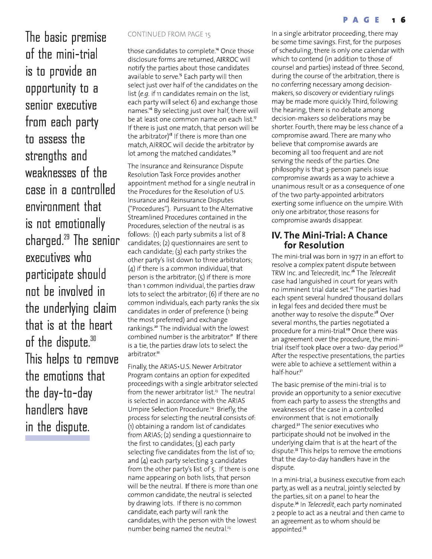#### PAGE

The basic premise of the mini-trial is to provide an opportunity to a senior executive from each party to assess the strengths and weaknesses of the case in a controlled envirnnment that is not emotionally charged. $29$  The senior executives who participate should not be involved in the underlying claim that is at the heart of the dispute.<sup>30</sup> This helps to remove the emotions that the day-to-day handlers have in the dispute.

#### **CONTINUED FROM PAGE 15**

those candidates to complete.<sup>14</sup> Once those disclosure forms are returned, AIRROC will notify the parties about those candidates available to serve.<sup>15</sup> Each party will then select just over half of the candidates on the list (e.g. if 11 candidates remain on the list, each party will select 6) and exchange those names.<sup>16</sup> By selecting just over half, there will be at least one common name on each list.<sup>17</sup> If there is just one match, that person will be the arbitrator)<sup>18</sup> If there is more than one match, AIRROC will decide the arbitrator by lot among the matched candidates.<sup>19</sup>

The Insurance and Reinsurance Dispute Resolution Task Force provides another appointment method for a single neutral in the Procedures for the Resolution of U.S. Insurance and Reinsurance Disputes ("Procedures"). Pursuant to the Alternative Streamlined Procedures contained in the Procedures, selection of the neutral is as follows: (1) each party submits a list of 8 candidates; (2) questionnaires are sent to each candidate; (3) each party strikes the other party's list down to three arbitrators;  $(4)$  if there is a common individual, that person is the arbitrator;  $(5)$  if there is more than 1 common individual, the parties draw lots to select the arbitrator; (6) if there are no common individuals, each party ranks the six candidates in order of preference (1 being the most preferred) and exchange rankings.<sup>20</sup> The individual with the lowest combined number is the arbitrator.<sup>21</sup> If there is a tie, the parties draw lots to select the arbitrator.<sup>22</sup>

Finally, the ARIAS. U.S. Newer Arbitrator Program contains an option for expedited proceedings with a single arbitrator selected from the newer arbitrator list.<sup>23</sup> The neutral is selected in accordance with the ARIAS Umpire Selection Procedure.<sup>24</sup> Briefly, the process for selecting the neutral consists of: (1) obtaining a random list of candidates from ARIAS; (2) sending a questionnaire to the first 10 candidates; (3) each party selecting five candidates from the list of 10; and  $(4)$  each party selecting 3 candidates from the other party's list of 5. If there is one name appearing on both lists, that person will be the neutral. If there is more than one common candidate, the neutral is selected by drawing lots. If there is no common candidate, each party will rank the candidates, with the person with the lowest number being named the neutral.<sup>25</sup>

In a single arbitrator proceeding, there may be some time savings. First, for the purposes of scheduling, there is only one calendar with which to contend (in addition to those of counsel and parties) instead of three. Second, during the course of the arbitration, there is no conferring necessary among decisionmakers, so discovery or evidentiary rulings may be made more quickly. Third, following the hearing, there is no debate among decision-makers so deliberations may be shorter. Fourth, there may be less chance of a compromise award. There are many who believe that compromise awards are becoming all too frequent and are not serving the needs of the parties. One philosophy is that 3-person panels issue compromise awards as a way to achieve a unanimous result or as a consequence of one of the two party-appointed arbitrators exerting some influence on the umpire. With only one arbitrator, those reasons for compromise awards disappear.

#### **IV. The Mini-Trial: A Chance** for Resolution

The mini-trial was born in 1977 in an effort to resolve a complex patent dispute between TRW Inc. and Telecredit, Inc.<sup>26</sup> The Telecredit case had languished in court for years with no imminent trial date set.<sup>27</sup> The parties had each spent several hundred thousand dollars in legal fees and decided there must be another way to resolve the dispute.<sup>28</sup> Over several months, the parties negotiated a procedure for a mini-trial.<sup>29</sup> Once there was an agreement over the procedure, the minitrial itself took place over a two- day period.<sup>30</sup> After the respective presentations, the parties were able to achieve a settlement within a half-hour.<sup>31</sup>

The basic premise of the mini-trial is to provide an opportunity to a senior executive from each party to assess the strengths and weaknesses of the case in a controlled environment that is not emotionally charged.<sup>32</sup> The senior executives who participate should not be involved in the underlying claim that is at the heart of the dispute.<sup>33</sup> This helps to remove the emotions that the day-to-day handlers have in the dispute.

In a mini-trial, a business executive from each party, as well as a neutral, jointly selected by the parties, sit on a panel to hear the dispute.<sup>34</sup> In Telecredit, each party nominated 2 people to act as a neutral and then came to an agreement as to whom should be appointed.<sup>35</sup>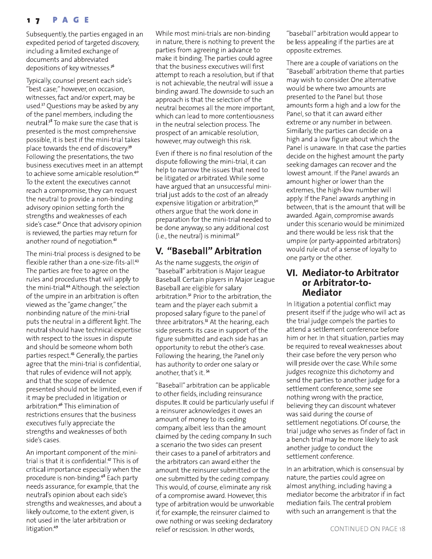#### PAGE  $1<sub>7</sub>$

Subsequently, the parties engaged in an expedited period of targeted discovery, including a limited exchange of documents and abbreviated depositions of key witnesses.<sup>36</sup>

Typically, counsel present each side's "best case;" however, on occasion, witnesses, fact and/or expert, may be used.<sup>37</sup> Questions may be asked by any of the panel members, including the neutral.<sup>38</sup> To make sure the case that is presented is the most comprehensive possible, it is best if the mini-trial takes place towards the end of discovery.<sup>39</sup> Following the presentations, the two business executives meet in an attempt to achieve some amicable resolution.<sup>40</sup> To the extent the executives cannot reach a compromise, they can request the neutral to provide a non-binding advisory opinion setting forth the strengths and weaknesses of each side's case.<sup>41</sup> Once that advisory opinion is reviewed, the parties may return for another round of negotiation.<sup>42</sup>

The mini-trial process is designed to be flexible rather than a one-size-fits-all.<sup>43</sup> The parties are free to agree on the rules and procedures that will apply to the mini-trial.<sup>44</sup> Although. the selection of the umpire in an arbitration is often viewed as the "game changer," the nonbinding nature of the mini-trial puts the neutral in a different light. The neutral should have technical expertise with respect to the issues in dispute and should be someone whom both parties respect.<sup>45</sup> Generally, the parties agree that the mini-trial is confidential, that rules of evidence will not apply, and that the scope of evidence presented should not be limited, even if it may be precluded in litigation or arbitration.<sup>46</sup> This elimination of restrictions ensures that the business executives fully appreciate the strengths and weaknesses of both side's cases.

An important component of the minitrial is that it is confidential.<sup>47</sup> This is of critical importance especially when the procedure is non-binding.<sup>48</sup> Each party needs assurance, for example, that the neutral's opinion about each side's strengths and weaknesses, and about a likely outcome, to the extent given, is not used in the later arbitration or litigation.<sup>49</sup>

While most mini-trials are non-binding in nature, there is nothing to prevent the parties from agreeing in advance to make it binding. The parties could agree that the business executives will first attempt to reach a resolution, but if that is not achievable, the neutral will issue a binding award. The downside to such an approach is that the selection of the neutral becomes all the more important, which can lead to more contentiousness in the neutral selection process. The prospect of an amicable resolution, however, may outweigh this risk.

Even if there is no final resolution of the dispute following the mini-trial, it can help to narrow the issues that need to be litigated or arbitrated. While some have argued that an unsuccessful minitrial just adds to the cost of an already expensive litigation or arbitration,<sup>50</sup> others argue that the work done in preparation for the mini-trial needed to be done anyway, so any additional cost (i.e., the neutral) is minimal.<sup>51</sup>

### V. "Baseball" Arbitration

As the name suggests, the origin of "baseball" arbitration is Major League Baseball. Certain players in Major League Baseball are eligible for salary arbitration.<sup>52</sup> Prior to the arbitration, the team and the player each submit a proposed salary figure to the panel of three arbitrators.<sup>53</sup> At the hearing, each side presents its case in support of the figure submitted and each side has an opportunity to rebut the other's case. Following the hearing, the Panel only has authority to order one salary or another, that's it. 54

"Baseball" arbitration can be applicable to other fields, including reinsurance disputes. It could be particularly useful if a reinsurer acknowledges it owes an amount of money to its ceding company, albeit less than the amount claimed by the ceding company. In such a scenario the two sides can present their cases to a panel of arbitrators and the arbitrators can award either the amount the reinsurer submitted or the one submitted by the ceding company. This would, of course, eliminate any risk of a compromise award. However, this type of arbitration would be unworkable if, for example, the reinsurer claimed to owe nothing or was seeking declaratory relief or rescission. In other words,

"baseball" arbitration would appear to be less appealing if the parties are at opposite extremes.

There are a couple of variations on the "Baseball' arbitration theme that parties may wish to consider. One alternative would be where two amounts are presented to the Panel but those amounts form a high and a low for the Panel, so that it can award either extreme or any number in between. Similarly, the parties can decide on a high and a low figure about which the Panel is unaware. In that case the parties decide on the highest amount the party seeking damages can recover and the lowest amount. If the Panel awards an amount higher or lower than the extremes, the high-low number will apply. If the Panel awards anything in between, that is the amount that will be awarded. Again, compromise awards under this scenario would be minimized and there would be less risk that the umpire (or party-appointed arbitrators) would rule out of a sense of loyalty to one party or the other.

#### VI. Mediator-to Arbitrator or Arbitrator-to-**Mediator**

In litigation a potential conflict may present itself if the judge who will act as the trial judge compels the parties to attend a settlement conference before him or her. In that situation, parties may be required to reveal weaknesses about their case before the very person who will preside over the case. While some judges recognize this dichotomy and send the parties to another judge for a settlement conference, some see nothing wrong with the practice, believing they can discount whatever was said during the course of settlement negotiations. Of course, the trial judge who serves as finder of fact in a bench trial may be more likely to ask another judge to conduct the settlement conference.

In an arbitration, which is consensual by nature, the parties could agree on almost anything, including having a mediator become the arbitrator if in fact mediation fails. The central problem with such an arrangement is that the